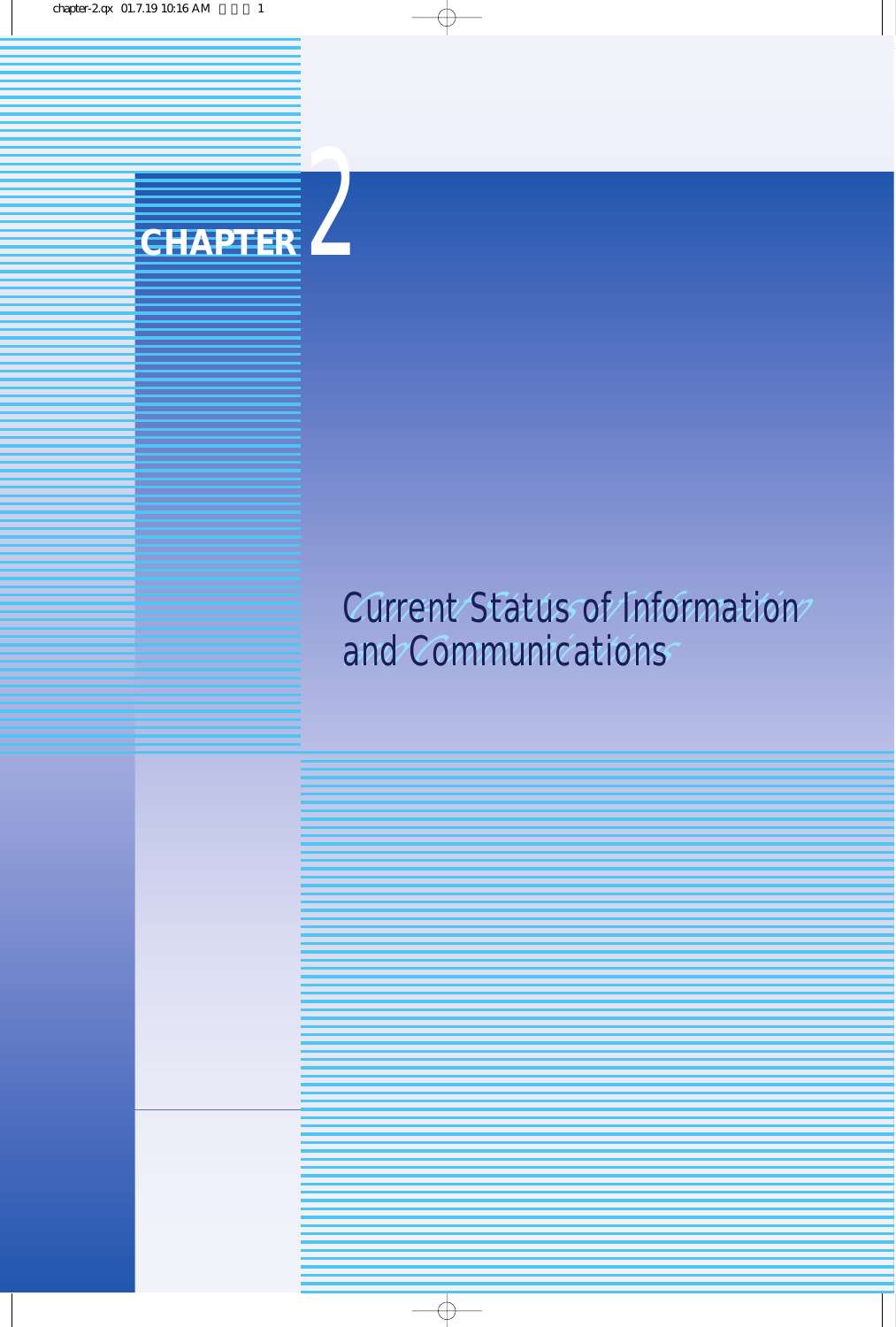

# Current Status of Information Current Status of Information **and Communications**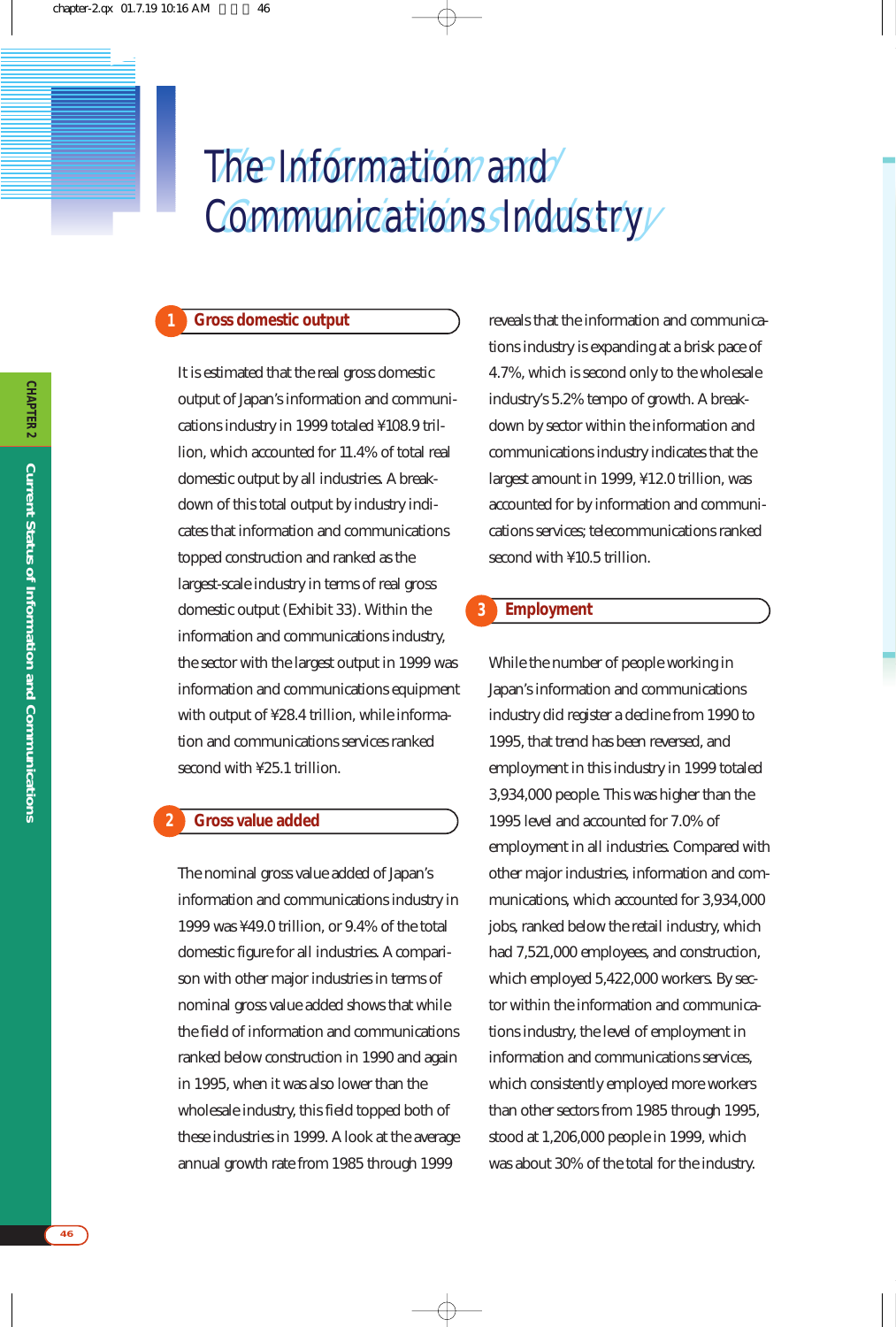# The Information and Communications Industry The Information and *1* Communications Industry

# **Gross domestic output**

**1**

It is estimated that the real gross domestic output of Japan's information and communications industry in 1999 totaled ¥108.9 trillion, which accounted for 11.4% of total real domestic output by all industries. A breakdown of this total output by industry indicates that information and communications topped construction and ranked as the largest-scale industry in terms of real gross domestic output (Exhibit 33). Within the information and communications industry, the sector with the largest output in 1999 was information and communications equipment with output of ¥28.4 trillion, while information and communications services ranked second with ¥25.1 trillion.

#### **Gross value added 2**

The nominal gross value added of Japan's information and communications industry in 1999 was ¥49.0 trillion, or 9.4% of the total domestic figure for all industries. A comparison with other major industries in terms of nominal gross value added shows that while the field of information and communications ranked below construction in 1990 and again in 1995, when it was also lower than the wholesale industry, this field topped both of these industries in 1999. A look at the average annual growth rate from 1985 through 1999

reveals that the information and communications industry is expanding at a brisk pace of 4.7%, which is second only to the wholesale industry's 5.2% tempo of growth. A breakdown by sector within the information and communications industry indicates that the largest amount in 1999, ¥12.0 trillion, was accounted for by information and communications services; telecommunications ranked second with ¥10.5 trillion.

#### **Employment 3**

While the number of people working in Japan's information and communications industry did register a decline from 1990 to 1995, that trend has been reversed, and employment in this industry in 1999 totaled 3,934,000 people. This was higher than the 1995 level and accounted for 7.0% of employment in all industries. Compared with other major industries, information and communications, which accounted for 3,934,000 jobs, ranked below the retail industry, which had 7,521,000 employees, and construction, which employed 5,422,000 workers. By sector within the information and communications industry, the level of employment in information and communications services, which consistently employed more workers than other sectors from 1985 through 1995, stood at 1,206,000 people in 1999, which was about 30% of the total for the industry.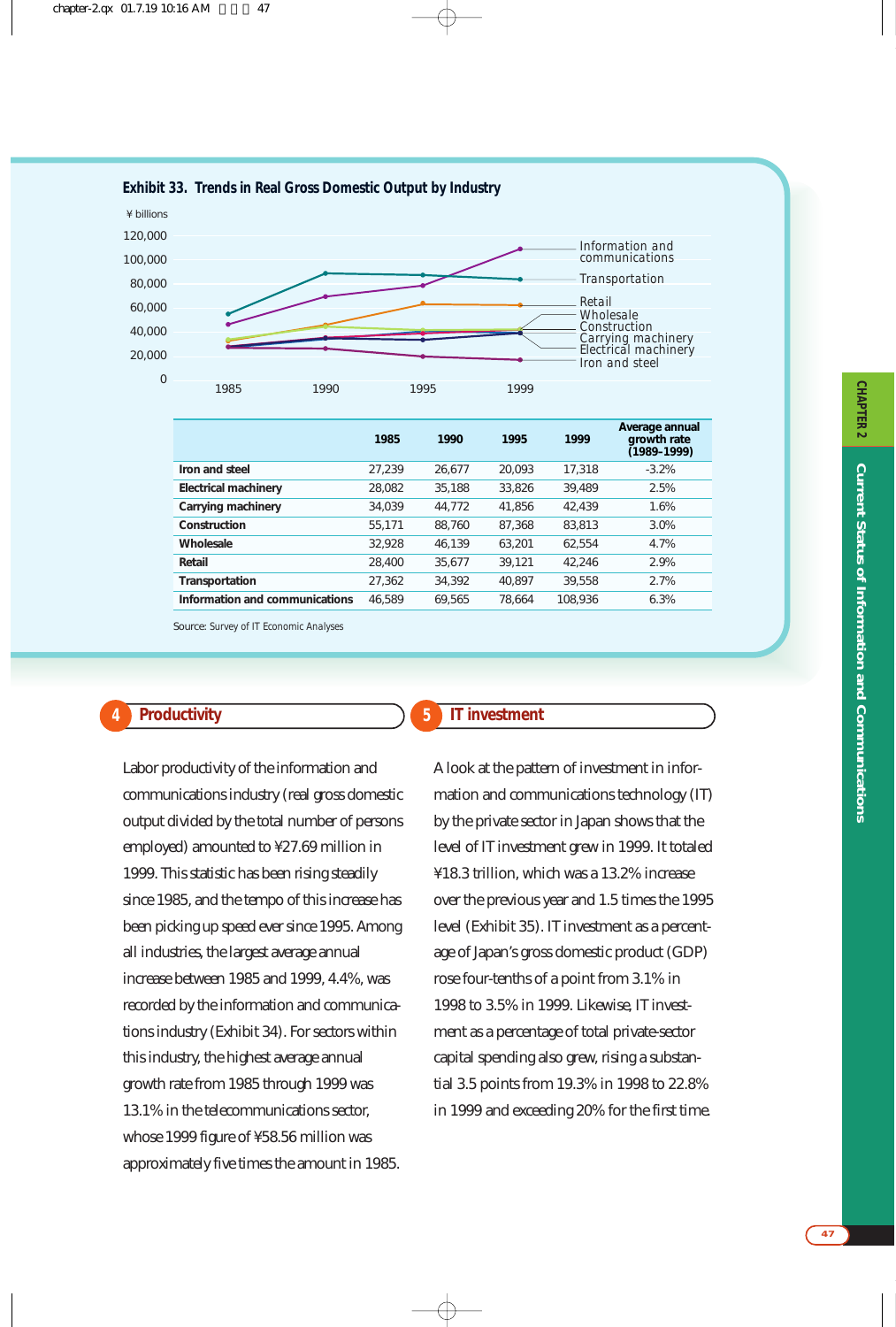

|                                | 1985   | 1990   | 1995   | 1999    | Average annual<br>growth rate<br>(1989–1999) |
|--------------------------------|--------|--------|--------|---------|----------------------------------------------|
| Iron and steel                 | 27.239 | 26,677 | 20.093 | 17,318  | $-3.2%$                                      |
| <b>Electrical machinery</b>    | 28,082 | 35,188 | 33,826 | 39,489  | 2.5%                                         |
| Carrying machinery             | 34,039 | 44,772 | 41,856 | 42.439  | 1.6%                                         |
| Construction                   | 55,171 | 88,760 | 87,368 | 83,813  | 3.0%                                         |
| Wholesale                      | 32,928 | 46,139 | 63,201 | 62,554  | 4.7%                                         |
| Retail                         | 28,400 | 35,677 | 39,121 | 42.246  | 2.9%                                         |
| Transportation                 | 27,362 | 34,392 | 40.897 | 39,558  | 2.7%                                         |
| Information and communications | 46.589 | 69.565 | 78.664 | 108,936 | 6.3%                                         |

Source: *Survey of IT Economic Analyses*

# **Productivity 4 5**

Labor productivity of the information and communications industry (real gross domestic output divided by the total number of persons employed) amounted to ¥27.69 million in 1999. This statistic has been rising steadily since 1985, and the tempo of this increase has been picking up speed ever since 1995. Among all industries, the largest average annual increase between 1985 and 1999, 4.4%, was recorded by the information and communications industry (Exhibit 34). For sectors within this industry, the highest average annual growth rate from 1985 through 1999 was 13.1% in the telecommunications sector, whose 1999 figure of ¥58.56 million was approximately five times the amount in 1985.

# **IT investment**

A look at the pattern of investment in information and communications technology (IT) by the private sector in Japan shows that the level of IT investment grew in 1999. It totaled ¥18.3 trillion, which was a 13.2% increase over the previous year and 1.5 times the 1995 level (Exhibit 35). IT investment as a percentage of Japan's gross domestic product (GDP) rose four-tenths of a point from 3.1% in 1998 to 3.5% in 1999. Likewise, IT investment as a percentage of total private-sector capital spending also grew, rising a substantial 3.5 points from 19.3% in 1998 to 22.8% in 1999 and exceeding 20% for the first time.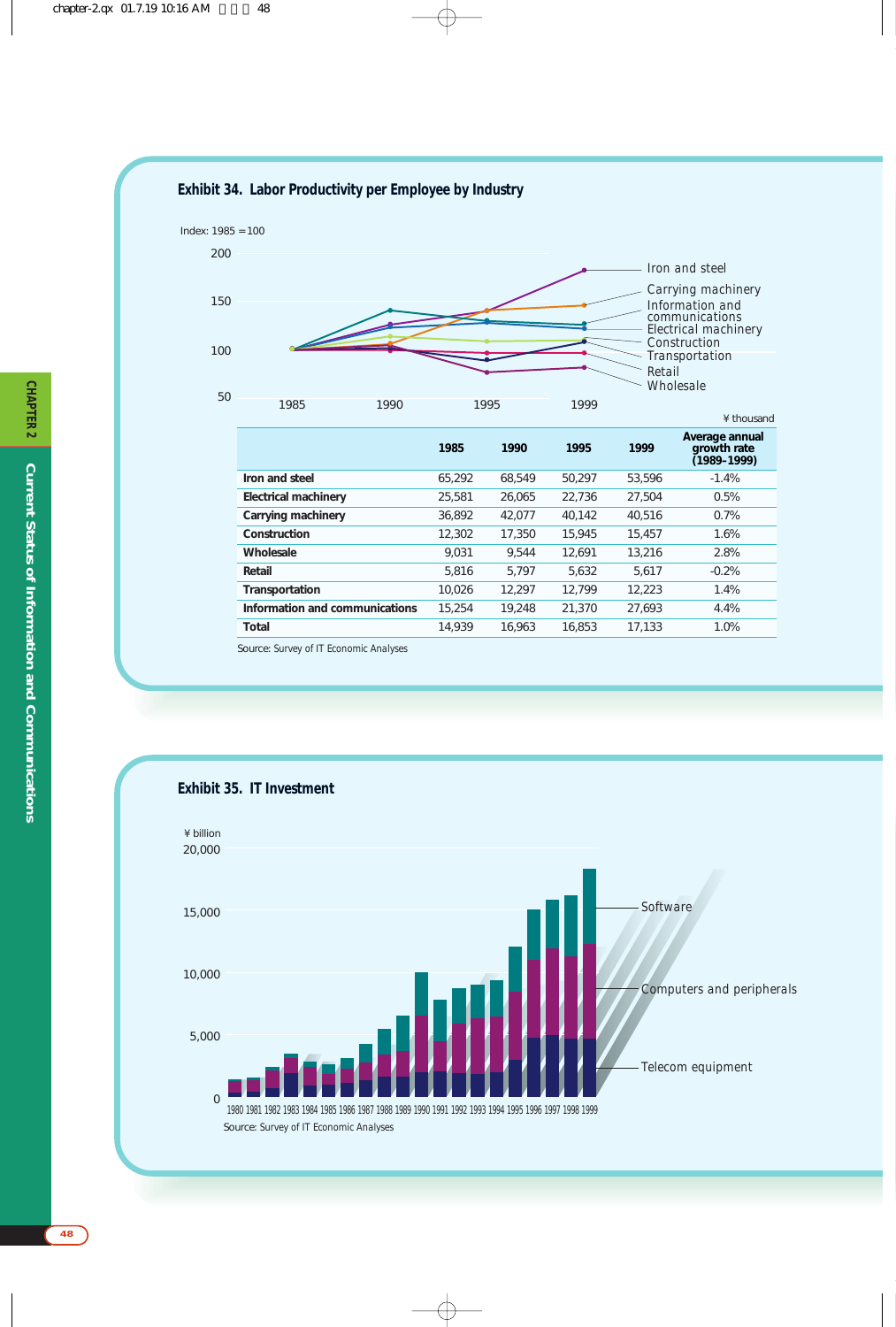# **Exhibit 34. Labor Productivity per Employee by Industry**



|                                | 1985   | 1990   | 1995   | 1999   | Average annual<br>growth rate<br>(1989–1999) |
|--------------------------------|--------|--------|--------|--------|----------------------------------------------|
| Iron and steel                 | 65.292 | 68.549 | 50.297 | 53.596 | $-1.4%$                                      |
| <b>Electrical machinery</b>    | 25,581 | 26,065 | 22.736 | 27.504 | 0.5%                                         |
| Carrying machinery             | 36,892 | 42.077 | 40.142 | 40.516 | 0.7%                                         |
| Construction                   | 12,302 | 17,350 | 15.945 | 15,457 | 1.6%                                         |
| Wholesale                      | 9.031  | 9.544  | 12.691 | 13.216 | 2.8%                                         |
| Retail                         | 5.816  | 5.797  | 5,632  | 5.617  | $-0.2%$                                      |
| Transportation                 | 10.026 | 12.297 | 12.799 | 12.223 | 1.4%                                         |
| Information and communications | 15,254 | 19.248 | 21,370 | 27.693 | 4.4%                                         |
| Total                          | 14.939 | 16,963 | 16.853 | 17,133 | 1.0%                                         |

Source: *Survey of IT Economic Analyses*

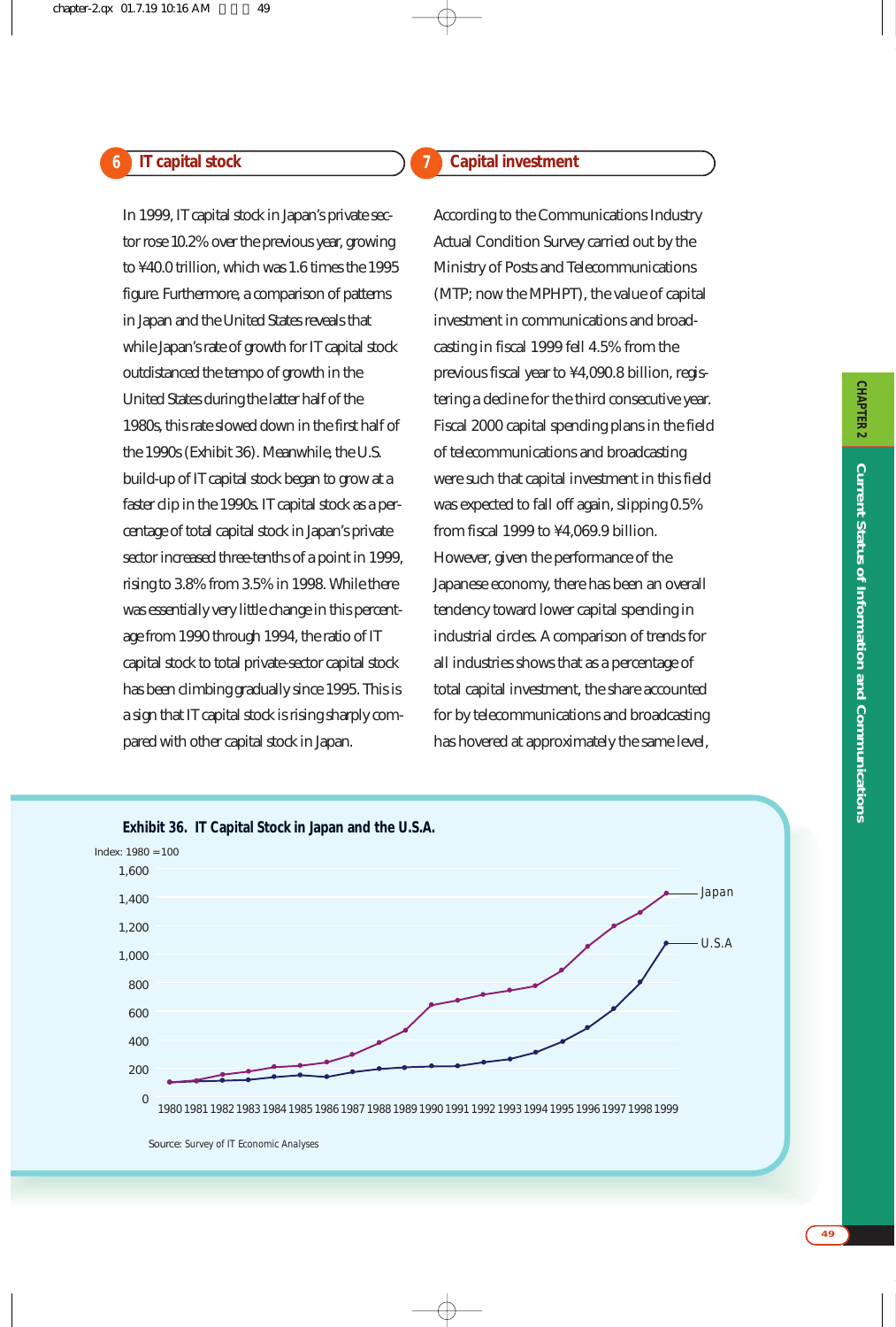# **IT capital stock 6 7**

# **Capital investment**

In 1999, IT capital stock in Japan's private sector rose 10.2% over the previous year, growing to ¥40.0 trillion, which was 1.6 times the 1995 figure. Furthermore, a comparison of patterns in Japan and the United States reveals that while Japan's rate of growth for IT capital stock outdistanced the tempo of growth in the United States during the latter half of the 1980s, this rate slowed down in the first half of the 1990s (Exhibit 36). Meanwhile, the U.S. build-up of IT capital stock began to grow at a faster clip in the 1990s. IT capital stock as a percentage of total capital stock in Japan's private sector increased three-tenths of a point in 1999, rising to 3.8% from 3.5% in 1998. While there was essentially very little change in this percentage from 1990 through 1994, the ratio of IT capital stock to total private-sector capital stock has been climbing gradually since 1995. This is a sign that IT capital stock is rising sharply compared with other capital stock in Japan.

According to the Communications Industry Actual Condition Survey carried out by the Ministry of Posts and Telecommunications (MTP; now the MPHPT), the value of capital investment in communications and broadcasting in fiscal 1999 fell 4.5% from the previous fiscal year to ¥4,090.8 billion, registering a decline for the third consecutive year. Fiscal 2000 capital spending plans in the field of telecommunications and broadcasting were such that capital investment in this field was expected to fall off again, slipping 0.5% from fiscal 1999 to ¥4,069.9 billion. However, given the performance of the Japanese economy, there has been an overall tendency toward lower capital spending in industrial circles. A comparison of trends for all industries shows that as a percentage of total capital investment, the share accounted for by telecommunications and broadcasting has hovered at approximately the same level,



Source: *Survey of IT Economic Analyses*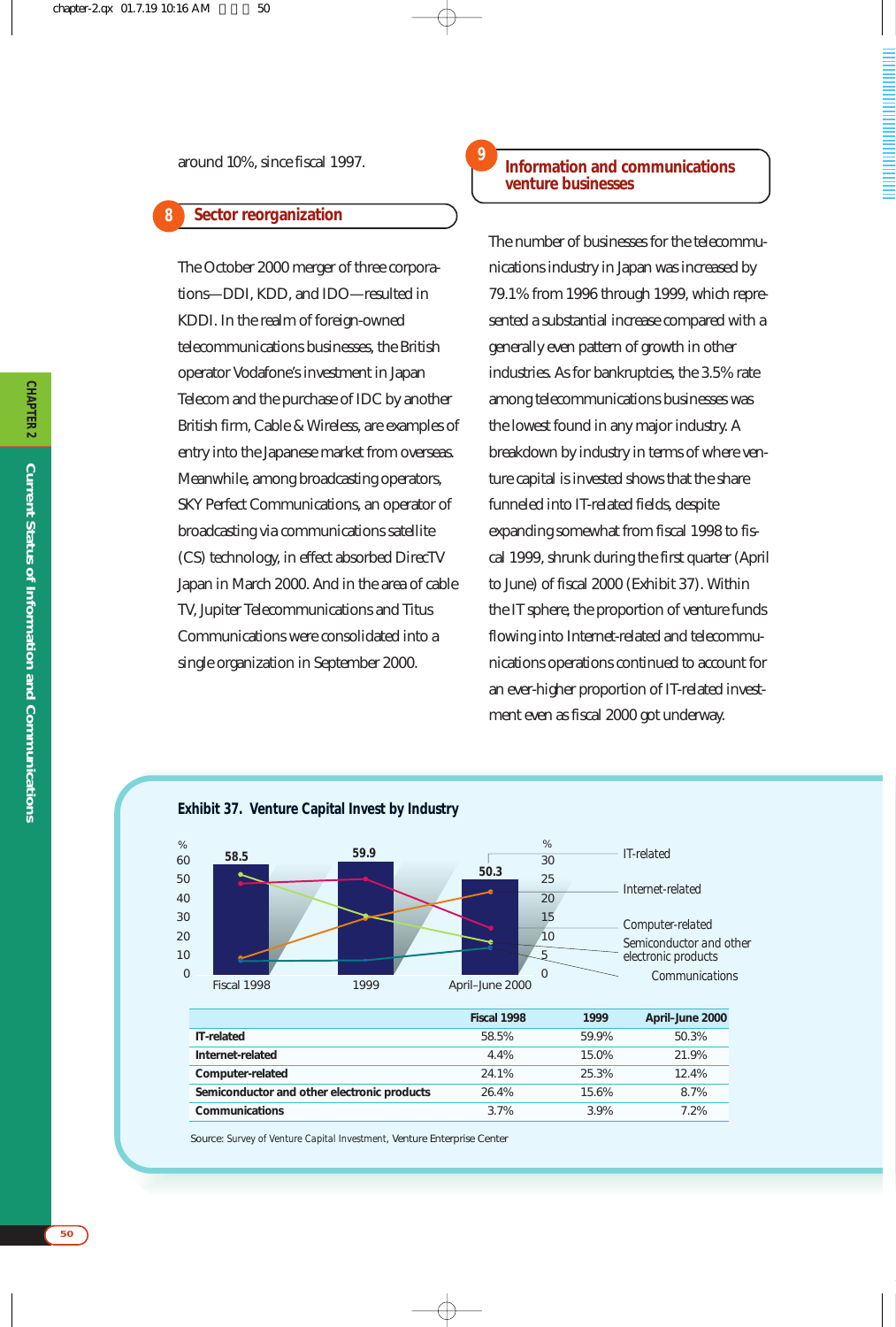#### **Sector reorganization 8**

The October 2000 merger of three corporations—DDI, KDD, and IDO—resulted in KDDI. In the realm of foreign-owned telecommunications businesses, the British operator Vodafone's investment in Japan Telecom and the purchase of IDC by another British firm, Cable & Wireless, are examples of entry into the Japanese market from overseas. Meanwhile, among broadcasting operators, SKY Perfect Communications, an operator of broadcasting via communications satellite (CS) technology, in effect absorbed DirecTV Japan in March 2000. And in the area of cable TV, Jupiter Telecommunications and Titus Communications were consolidated into a single organization in September 2000.

# **Information and communications venture businesses**

**9**

The number of businesses for the telecommunications industry in Japan was increased by 79.1% from 1996 through 1999, which represented a substantial increase compared with a generally even pattern of growth in other industries. As for bankruptcies, the 3.5% rate among telecommunications businesses was the lowest found in any major industry. A breakdown by industry in terms of where venture capital is invested shows that the share funneled into IT-related fields, despite expanding somewhat from fiscal 1998 to fiscal 1999, shrunk during the first quarter (April to June) of fiscal 2000 (Exhibit 37). Within the IT sphere, the proportion of venture funds flowing into Internet-related and telecommunications operations continued to account for an ever-higher proportion of IT-related investment even as fiscal 2000 got underway.



Source: *Survey of Venture Capital Investment*, Venture Enterprise Center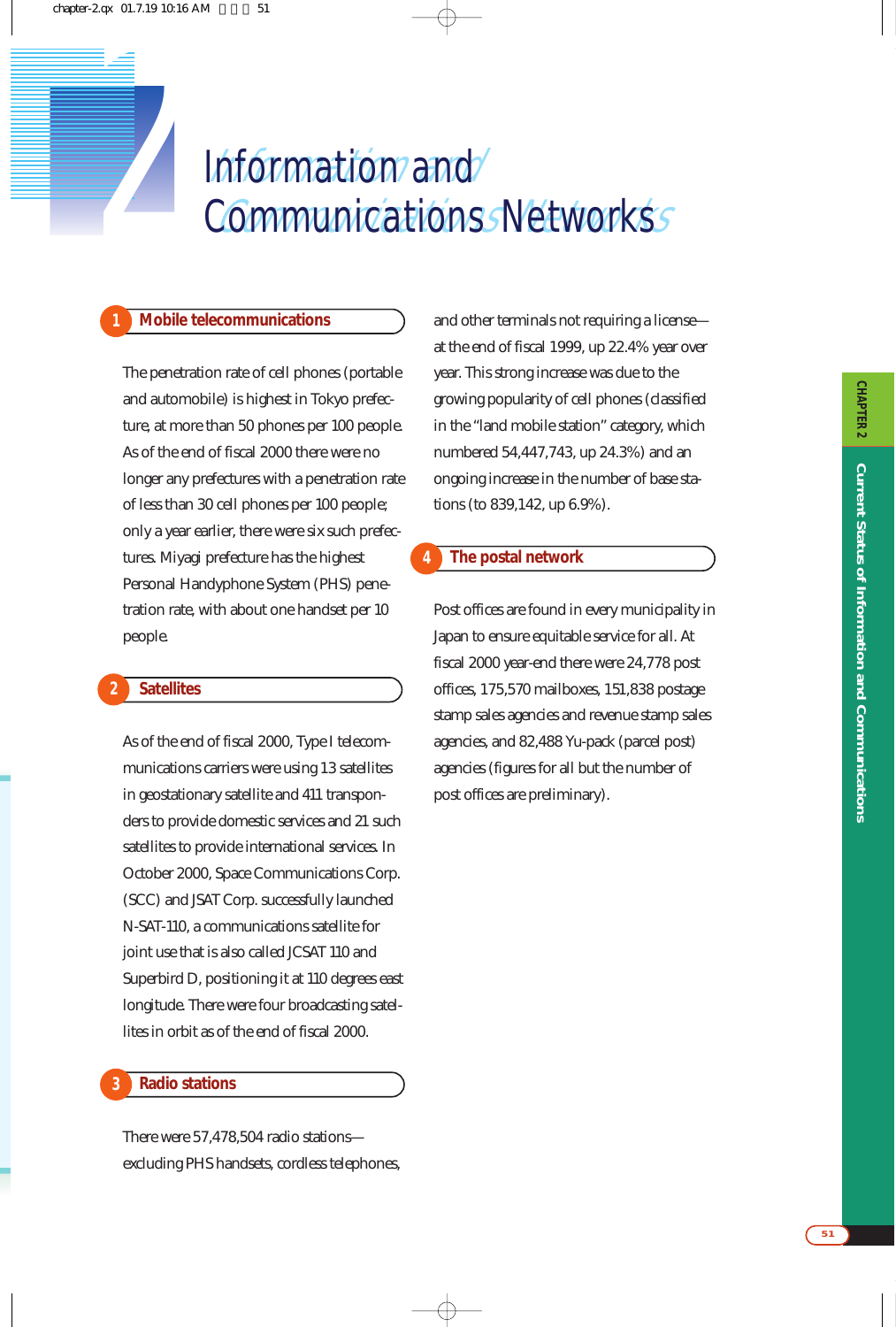# Information and Communications Networks Information and *2* Communications Networks

# **1 Mobile telecommunications**

The penetration rate of cell phones (portable and automobile) is highest in Tokyo prefecture, at more than 50 phones per 100 people. As of the end of fiscal 2000 there were no longer any prefectures with a penetration rate of less than 30 cell phones per 100 people; only a year earlier, there were six such prefectures. Miyagi prefecture has the highest Personal Handyphone System (PHS) penetration rate, with about one handset per 10 people.

#### **Satellites 2**

As of the end of fiscal 2000, Type I telecommunications carriers were using 13 satellites in geostationary satellite and 411 transponders to provide domestic services and 21 such satellites to provide international services. In October 2000, Space Communications Corp. (SCC) and JSAT Corp. successfully launched N-SAT-110, a communications satellite for joint use that is also called JCSAT 110 and Superbird D, positioning it at 110 degrees east longitude. There were four broadcasting satellites in orbit as of the end of fiscal 2000.

#### **Radio stations 3**

There were 57,478,504 radio stations excluding PHS handsets, cordless telephones, and other terminals not requiring a license at the end of fiscal 1999, up 22.4% year over year. This strong increase was due to the growing popularity of cell phones (classified in the "land mobile station" category, which numbered 54,447,743, up 24.3%) and an ongoing increase in the number of base stations (to 839,142, up 6.9%).

### **The postal network**

**4**

Post offices are found in every municipality in Japan to ensure equitable service for all. At fiscal 2000 year-end there were 24,778 post offices, 175,570 mailboxes, 151,838 postage stamp sales agencies and revenue stamp sales agencies, and 82,488 Yu-pack (parcel post) agencies (figures for all but the number of post offices are preliminary).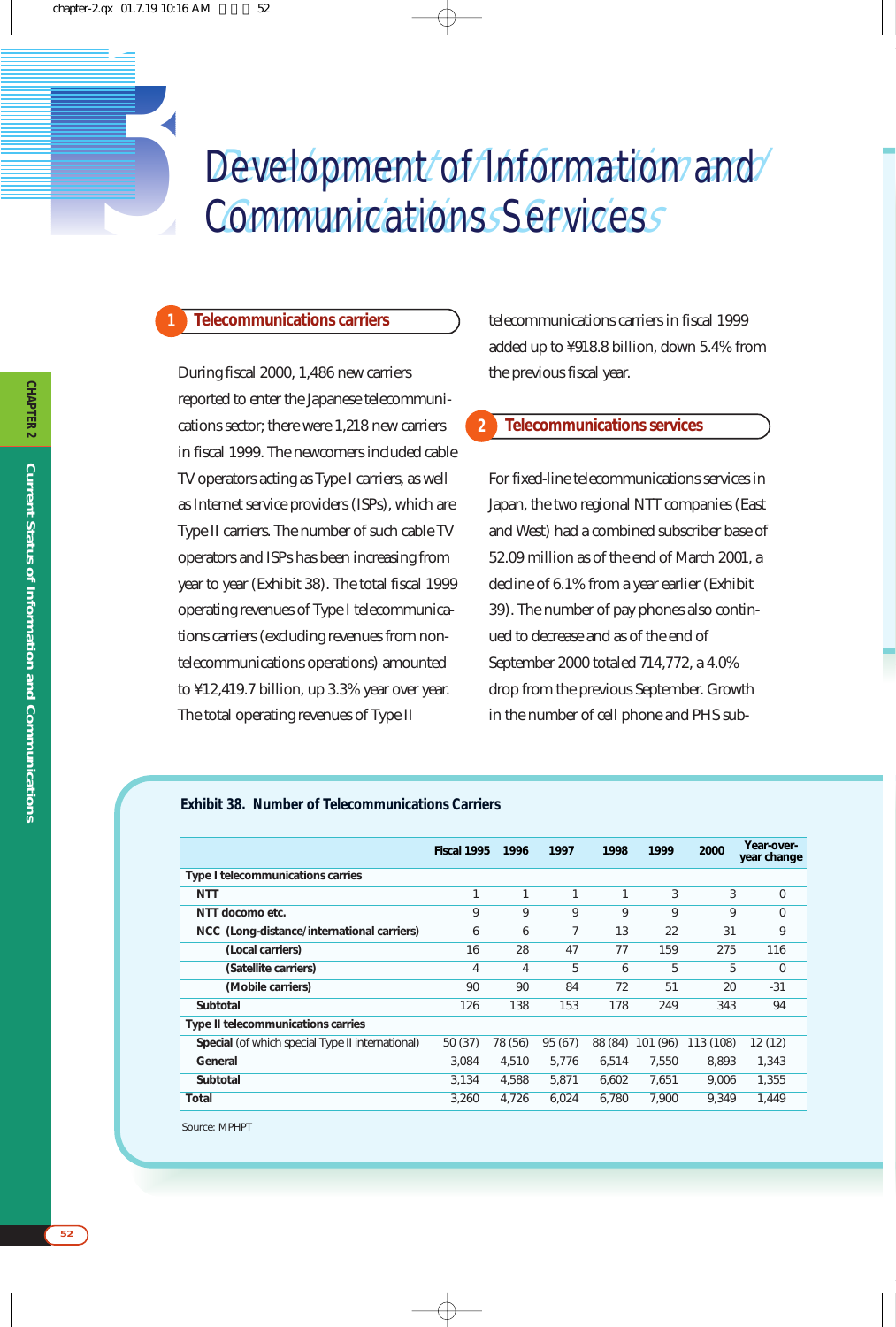# Levelopment/of/Information/and/ Communications Servicess Development of *Information* and<br> **3** Communications Services

# **Telecommunications carriers**

**1**

During fiscal 2000, 1,486 new carriers reported to enter the Japanese telecommunications sector; there were 1,218 new carriers in fiscal 1999. The newcomers included cable TV operators acting as Type I carriers, as well as Internet service providers (ISPs), which are Type II carriers. The number of such cable TV operators and ISPs has been increasing from year to year (Exhibit 38). The total fiscal 1999 operating revenues of Type I telecommunications carriers (excluding revenues from nontelecommunications operations) amounted to ¥12,419.7 billion, up 3.3% year over year. The total operating revenues of Type II

telecommunications carriers in fiscal 1999 added up to ¥918.8 billion, down 5.4% from the previous fiscal year.

#### **Telecommunications services 2**

For fixed-line telecommunications services in Japan, the two regional NTT companies (East and West) had a combined subscriber base of 52.09 million as of the end of March 2001, a decline of 6.1% from a year earlier (Exhibit 39). The number of pay phones also continued to decrease and as of the end of September 2000 totaled 714,772, a 4.0% drop from the previous September. Growth in the number of cell phone and PHS sub-

## **Exhibit 38. Number of Telecommunications Carriers**

|                                                  | Fiscal 1995    | 1996           | 1997    | 1998    | 1999     | 2000      | Year-over-<br>year change |
|--------------------------------------------------|----------------|----------------|---------|---------|----------|-----------|---------------------------|
| Type I telecommunications carries                |                |                |         |         |          |           |                           |
| NTT                                              | 1              |                | 1       | 1       | 3        | 3         | $\Omega$                  |
| NTT docomo etc.                                  | 9              | 9              | 9       | 9       | 9        | 9         | 0                         |
| NCC (Long-distance/international carriers)       | 6              | 6              | 7       | 13      | 22       | 31        | 9                         |
| (Local carriers)                                 | 16             | 28             | 47      | 77      | 159      | 275       | 116                       |
| (Satellite carriers)                             | $\overline{4}$ | $\overline{4}$ | 5       | 6       | 5        | 5         | $\Omega$                  |
| (Mobile carriers)                                | 90             | 90             | 84      | 72      | 51       | 20        | $-31$                     |
| Subtotal                                         | 126            | 138            | 153     | 178     | 249      | 343       | 94                        |
| Type II telecommunications carries               |                |                |         |         |          |           |                           |
| Special (of which special Type II international) | 50 (37)        | 78 (56)        | 95 (67) | 88 (84) | 101 (96) | 113 (108) | 12 (12)                   |
| General                                          | 3.084          | 4.510          | 5.776   | 6.514   | 7.550    | 8.893     | 1,343                     |
| Subtotal                                         | 3.134          | 4.588          | 5.871   | 6.602   | 7.651    | 9.006     | 1,355                     |
| Total                                            | 3,260          | 4,726          | 6,024   | 6.780   | 7,900    | 9,349     | 1.449                     |
|                                                  |                |                |         |         |          |           |                           |

Source: MPHPT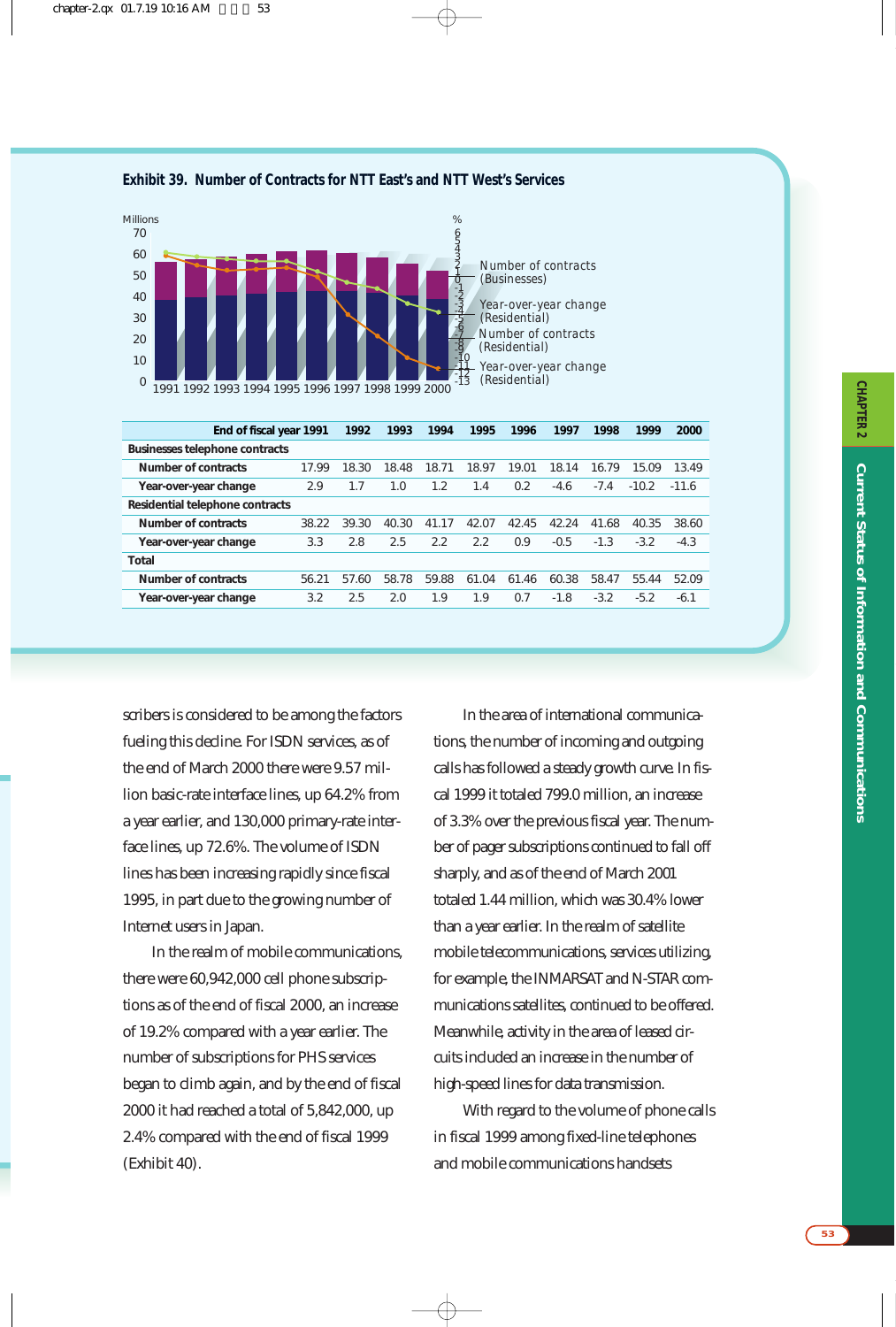



| End of fiscal year 1991         |       | 1992  | 1993  | 1994  | 1995  | 1996  | 1997   | 1998   | 1999    | 2000    |
|---------------------------------|-------|-------|-------|-------|-------|-------|--------|--------|---------|---------|
| Businesses telephone contracts  |       |       |       |       |       |       |        |        |         |         |
| Number of contracts             | 17.99 | 18.30 | 18.48 | 18.71 | 18.97 | 19.01 | 18.14  | 16.79  | 15.09   | 13.49   |
| Year-over-year change           | 2.9   | 1.7   | 1.0   | 1.2   | 1.4   | 0.2   | $-4.6$ | $-7.4$ | $-10.2$ | $-11.6$ |
| Residential telephone contracts |       |       |       |       |       |       |        |        |         |         |
| Number of contracts             | 38.22 | 39.30 | 40.30 | 41.17 | 42.07 | 42.45 | 42.24  | 41.68  | 40.35   | 38.60   |
| Year-over-year change           | 3.3   | 2.8   | 2.5   | 2.2   | 2.2   | 0.9   | $-0.5$ | $-1.3$ | $-3.2$  | $-4.3$  |
| Total                           |       |       |       |       |       |       |        |        |         |         |
| Number of contracts             | 56.21 | 57.60 | 58.78 | 59.88 | 61.04 | 61.46 | 60.38  | 58.47  | 55.44   | 52.09   |
| Year-over-year change           | 3.2   | 2.5   | 2.0   | 1.9   | 1.9   | 0.7   | $-1.8$ | $-3.2$ | $-5.2$  | $-6.1$  |
|                                 |       |       |       |       |       |       |        |        |         |         |

scribers is considered to be among the factors fueling this decline. For ISDN services, as of the end of March 2000 there were 9.57 million basic-rate interface lines, up 64.2% from a year earlier, and 130,000 primary-rate interface lines, up 72.6%. The volume of ISDN lines has been increasing rapidly since fiscal 1995, in part due to the growing number of Internet users in Japan.

In the realm of mobile communications, there were 60,942,000 cell phone subscriptions as of the end of fiscal 2000, an increase of 19.2% compared with a year earlier. The number of subscriptions for PHS services began to climb again, and by the end of fiscal 2000 it had reached a total of 5,842,000, up 2.4% compared with the end of fiscal 1999 (Exhibit 40).

In the area of international communications, the number of incoming and outgoing calls has followed a steady growth curve. In fiscal 1999 it totaled 799.0 million, an increase of 3.3% over the previous fiscal year. The number of pager subscriptions continued to fall off sharply, and as of the end of March 2001 totaled 1.44 million, which was 30.4% lower than a year earlier. In the realm of satellite mobile telecommunications, services utilizing, for example, the INMARSAT and N-STAR communications satellites, continued to be offered. Meanwhile, activity in the area of leased circuits included an increase in the number of high-speed lines for data transmission.

With regard to the volume of phone calls in fiscal 1999 among fixed-line telephones and mobile communications handsets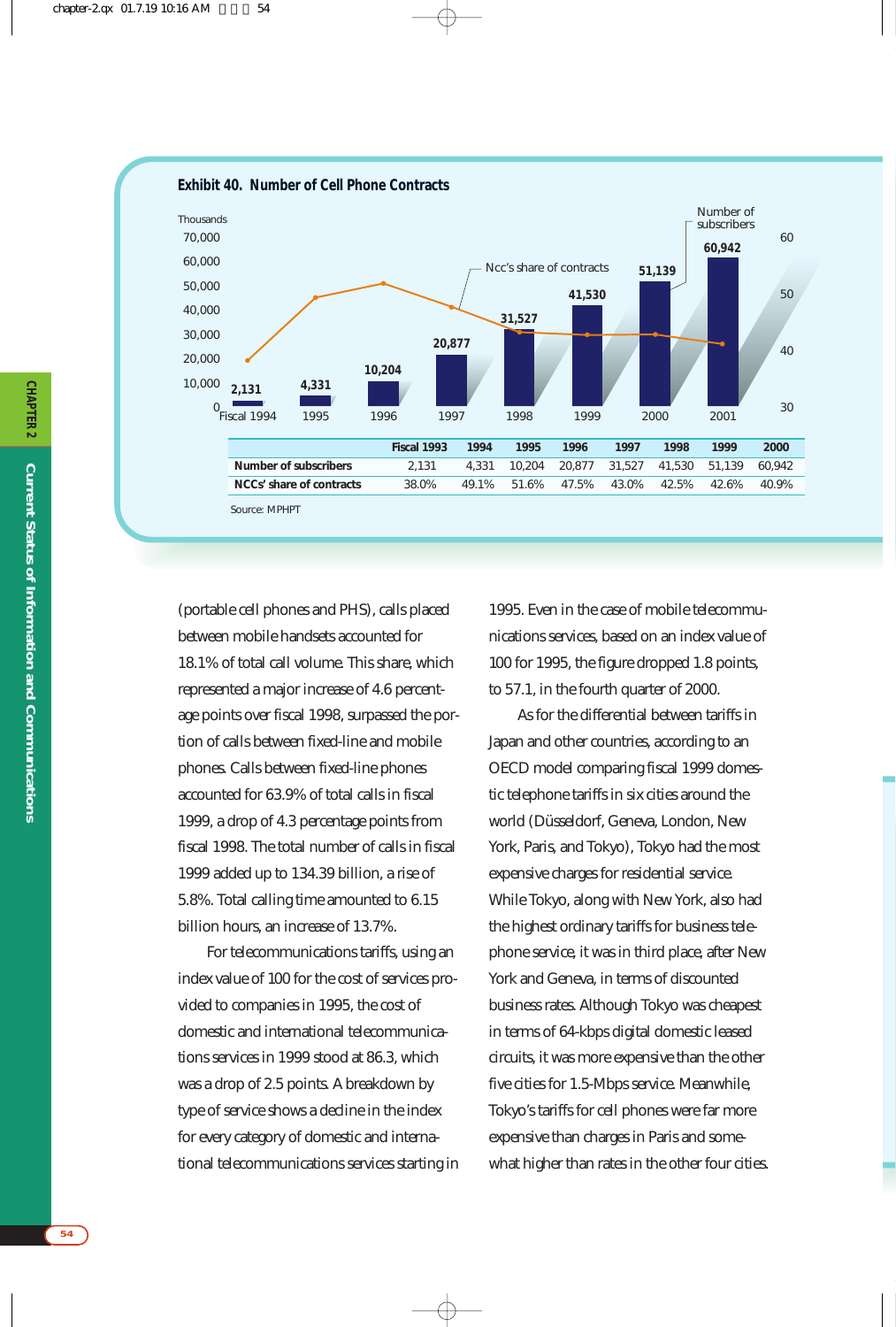

(portable cell phones and PHS), calls placed between mobile handsets accounted for 18.1% of total call volume. This share, which represented a major increase of 4.6 percentage points over fiscal 1998, surpassed the portion of calls between fixed-line and mobile phones. Calls between fixed-line phones accounted for 63.9% of total calls in fiscal 1999, a drop of 4.3 percentage points from fiscal 1998. The total number of calls in fiscal 1999 added up to 134.39 billion, a rise of 5.8%. Total calling time amounted to 6.15 billion hours, an increase of 13.7%.

For telecommunications tariffs, using an index value of 100 for the cost of services provided to companies in 1995, the cost of domestic and international telecommunications services in 1999 stood at 86.3, which was a drop of 2.5 points. A breakdown by type of service shows a decline in the index for every category of domestic and international telecommunications services starting in

1995. Even in the case of mobile telecommunications services, based on an index value of 100 for 1995, the figure dropped 1.8 points, to 57.1, in the fourth quarter of 2000.

As for the differential between tariffs in Japan and other countries, according to an OECD model comparing fiscal 1999 domestic telephone tariffs in six cities around the world (Düsseldorf, Geneva, London, New York, Paris, and Tokyo), Tokyo had the most expensive charges for residential service. While Tokyo, along with New York, also had the highest ordinary tariffs for business telephone service, it was in third place, after New York and Geneva, in terms of discounted business rates. Although Tokyo was cheapest in terms of 64-kbps digital domestic leased circuits, it was more expensive than the other five cities for 1.5-Mbps service. Meanwhile, Tokyo's tariffs for cell phones were far more expensive than charges in Paris and somewhat higher than rates in the other four cities.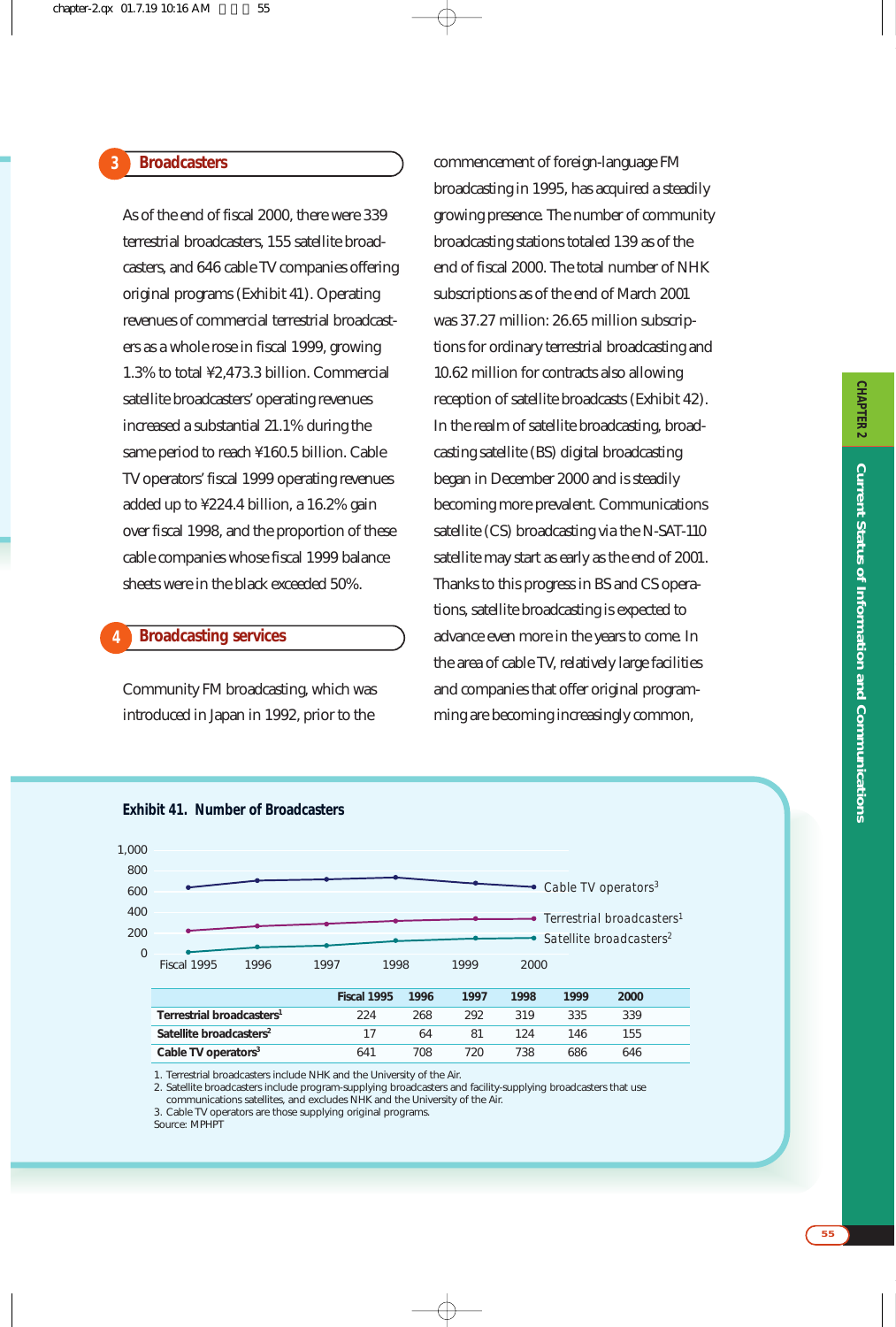As of the end of fiscal 2000, there were 339 terrestrial broadcasters, 155 satellite broadcasters, and 646 cable TV companies offering original programs (Exhibit 41). Operating revenues of commercial terrestrial broadcasters as a whole rose in fiscal 1999, growing 1.3% to total ¥2,473.3 billion. Commercial satellite broadcasters' operating revenues increased a substantial 21.1% during the same period to reach ¥160.5 billion. Cable TV operators' fiscal 1999 operating revenues added up to ¥224.4 billion, a 16.2% gain over fiscal 1998, and the proportion of these cable companies whose fiscal 1999 balance sheets were in the black exceeded 50%.

# **Broadcasting services**

**4**

Community FM broadcasting, which was introduced in Japan in 1992, prior to the

commencement of foreign-language FM broadcasting in 1995, has acquired a steadily growing presence. The number of community broadcasting stations totaled 139 as of the end of fiscal 2000. The total number of NHK subscriptions as of the end of March 2001 was 37.27 million: 26.65 million subscriptions for ordinary terrestrial broadcasting and 10.62 million for contracts also allowing reception of satellite broadcasts (Exhibit 42). In the realm of satellite broadcasting, broadcasting satellite (BS) digital broadcasting began in December 2000 and is steadily becoming more prevalent. Communications satellite (CS) broadcasting via the N-SAT-110 satellite may start as early as the end of 2001. Thanks to this progress in BS and CS operations, satellite broadcasting is expected to advance even more in the years to come. In the area of cable TV, relatively large facilities and companies that offer original programming are becoming increasingly common,



1. Terrestrial broadcasters include NHK and the University of the Air.

2. Satellite broadcasters include program-supplying broadcasters and facility-supplying broadcasters that use communications satellites, and excludes NHK and the University of the Air.

3. Cable TV operators are those supplying original programs.

Source: MPHPT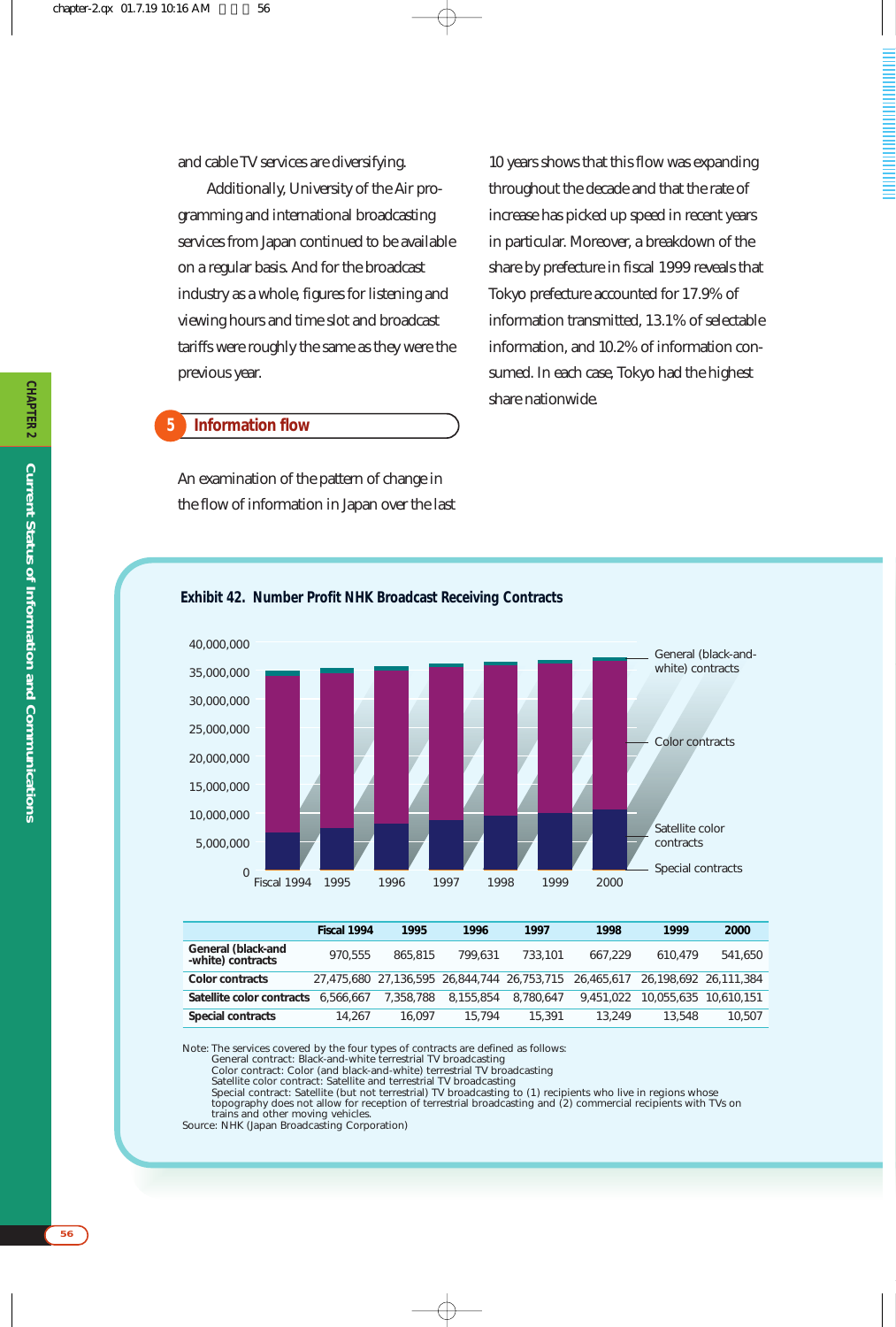and cable TV services are diversifying.

Additionally, University of the Air programming and international broadcasting services from Japan continued to be available on a regular basis. And for the broadcast industry as a whole, figures for listening and viewing hours and time slot and broadcast tariffs were roughly the same as they were the previous year.

#### **Information flow 5**

An examination of the pattern of change in the flow of information in Japan over the last

10 years shows that this flow was expanding throughout the decade and that the rate of increase has picked up speed in recent years in particular. Moreover, a breakdown of the share by prefecture in fiscal 1999 reveals that Tokyo prefecture accounted for 17.9% of information transmitted, 13.1% of selectable information, and 10.2% of information consumed. In each case, Tokyo had the highest share nationwide.



# **Exhibit 42. Number Profit NHK Broadcast Receiving Contracts**

|                                         | Fiscal 1994 | 1995      | 1996      | 1997      | 1998                                                   | 1999                  | 2000                  |
|-----------------------------------------|-------------|-----------|-----------|-----------|--------------------------------------------------------|-----------------------|-----------------------|
| General (black-and<br>-white) contracts | 970.555     | 865,815   | 799.631   | 733,101   | 667.229                                                | 610.479               | 541,650               |
| Color contracts                         |             |           |           |           | 27,475,680 27,136,595 26,844,744 26,753,715 26,465,617 | 26.198.692 26.111.384 |                       |
| Satellite color contracts               | 6.566.667   | 7,358,788 | 8.155.854 | 8.780.647 | 9.451.022                                              |                       | 10.055.635 10.610.151 |
| Special contracts                       | 14.267      | 16.097    | 15.794    | 15,391    | 13.249                                                 | 13.548                | 10,507                |

Note: The services covered by the four types of contracts are defined as follows:

General contract: Black-and-white terrestrial TV broadcasting<br>Color contract: Color (and black-and-white) terrestrial TV broadcasting<br>Satellite color contract: Satellite and terrestrial TV broadcasting<br>Special contract: Sa

trains and other moving vehicles.

Source: NHK (Japan Broadcasting Corporation)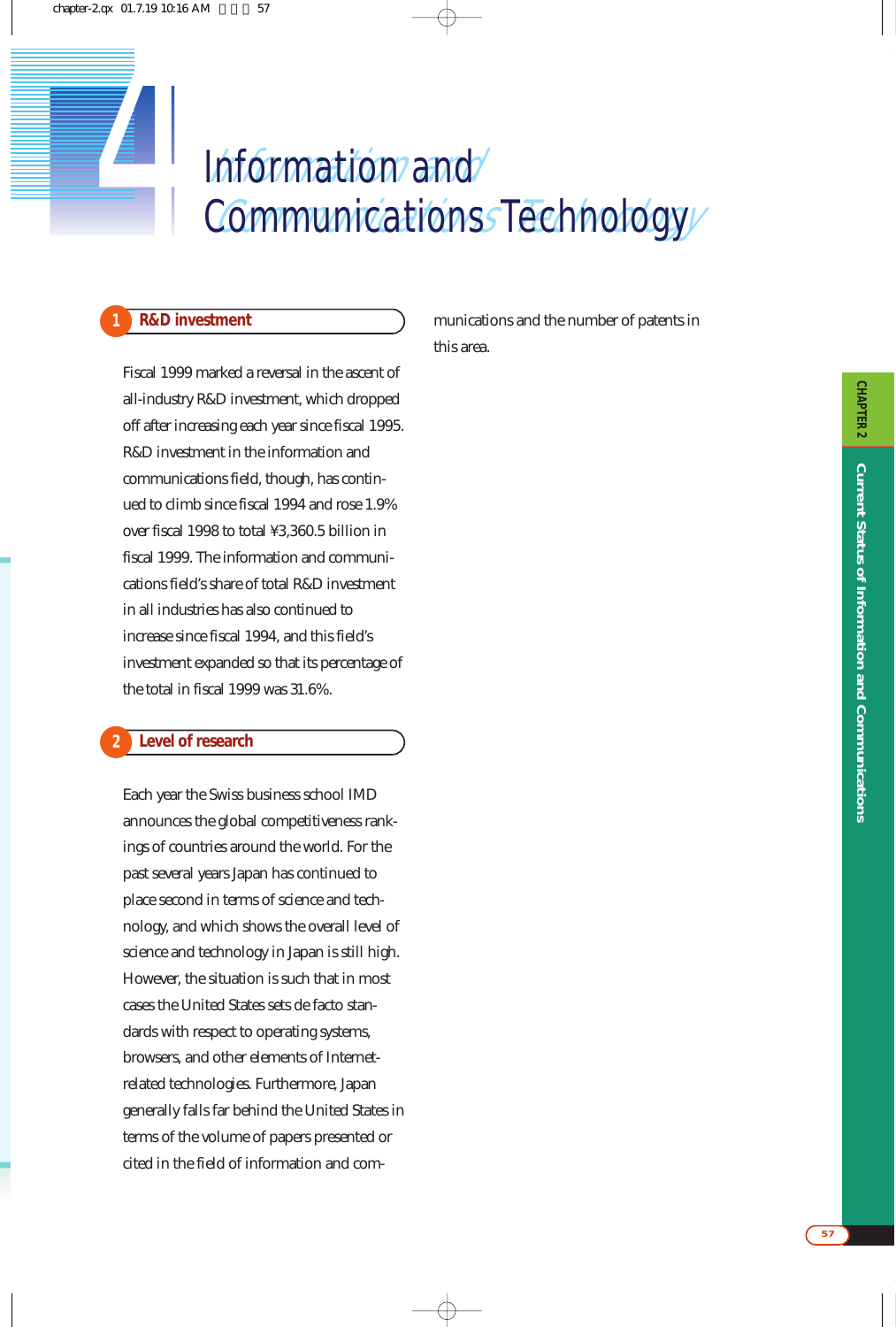# Information and Communications Technology **11 Information and** *4* Communications Technology

# **1 R&D investment**

Fiscal 1999 marked a reversal in the ascent of all-industry R&D investment, which dropped off after increasing each year since fiscal 1995. R&D investment in the information and communications field, though, has continued to climb since fiscal 1994 and rose 1.9% over fiscal 1998 to total ¥3,360.5 billion in fiscal 1999. The information and communications field's share of total R&D investment in all industries has also continued to increase since fiscal 1994, and this field's investment expanded so that its percentage of the total in fiscal 1999 was 31.6%.

#### **Level of research 2**

Each year the Swiss business school IMD announces the global competitiveness rankings of countries around the world. For the past several years Japan has continued to place second in terms of science and technology, and which shows the overall level of science and technology in Japan is still high. However, the situation is such that in most cases the United States sets de facto standards with respect to operating systems, browsers, and other elements of Internetrelated technologies. Furthermore, Japan generally falls far behind the United States in terms of the volume of papers presented or cited in the field of information and communications and the number of patents in this area.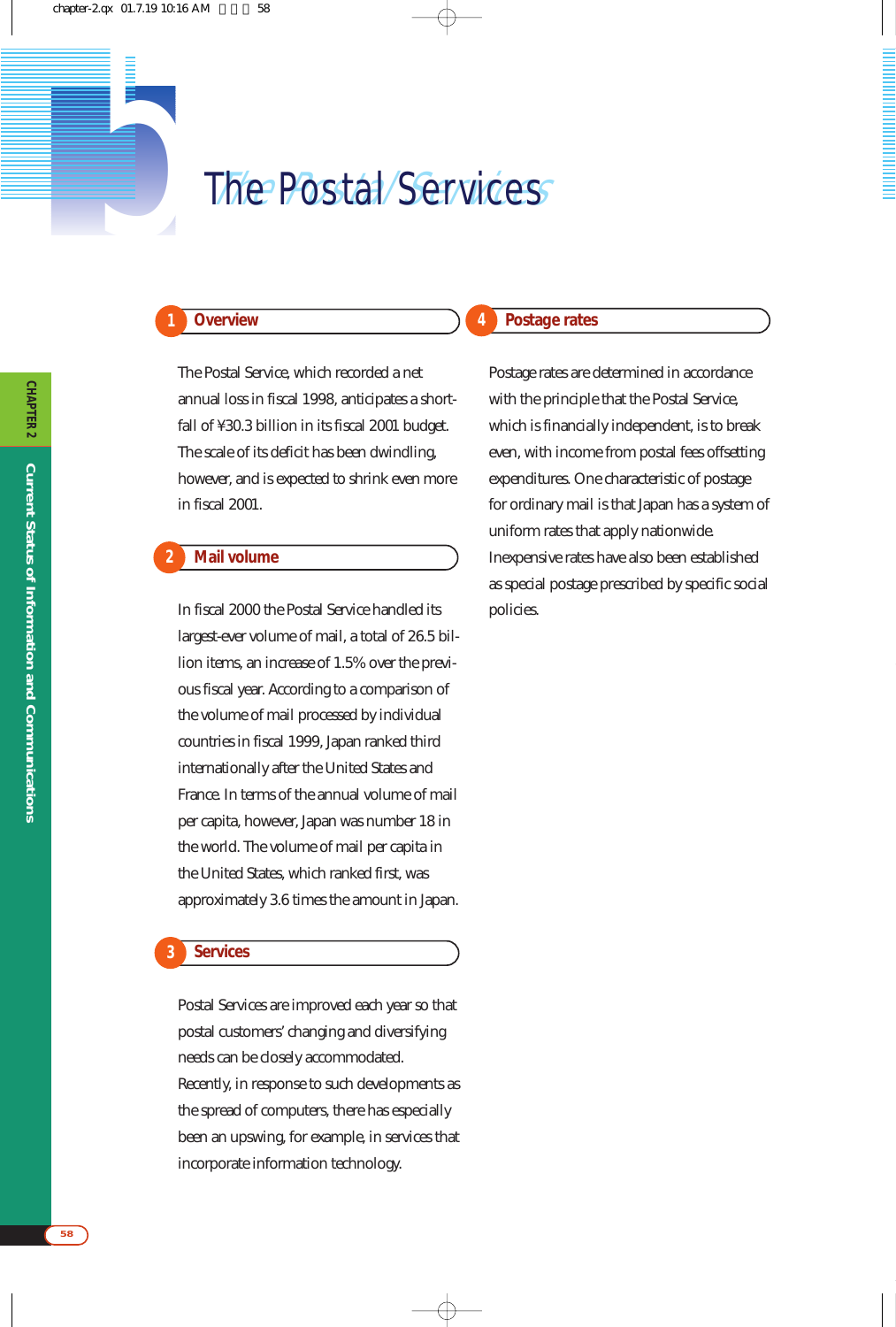# **1** The Postal Services

# **Overview**

**1**

**2**

The Postal Service, which recorded a net annual loss in fiscal 1998, anticipates a shortfall of ¥30.3 billion in its fiscal 2001 budget. The scale of its deficit has been dwindling, however, and is expected to shrink even more in fiscal 2001.

## **Mail volume**

In fiscal 2000 the Postal Service handled its largest-ever volume of mail, a total of 26.5 billion items, an increase of 1.5% over the previous fiscal year. According to a comparison of the volume of mail processed by individual countries in fiscal 1999, Japan ranked third internationally after the United States and France. In terms of the annual volume of mail per capita, however, Japan was number 18 in the world. The volume of mail per capita in the United States, which ranked first, was approximately 3.6 times the amount in Japan.

## **Services**

**3**

Postal Services are improved each year so that postal customers' changing and diversifying needs can be closely accommodated. Recently, in response to such developments as the spread of computers, there has especially been an upswing, for example, in services that incorporate information technology.

## **Postage rates**

**4**

Postage rates are determined in accordance with the principle that the Postal Service, which is financially independent, is to break even, with income from postal fees offsetting expenditures. One characteristic of postage for ordinary mail is that Japan has a system of uniform rates that apply nationwide. Inexpensive rates have also been established as special postage prescribed by specific social policies.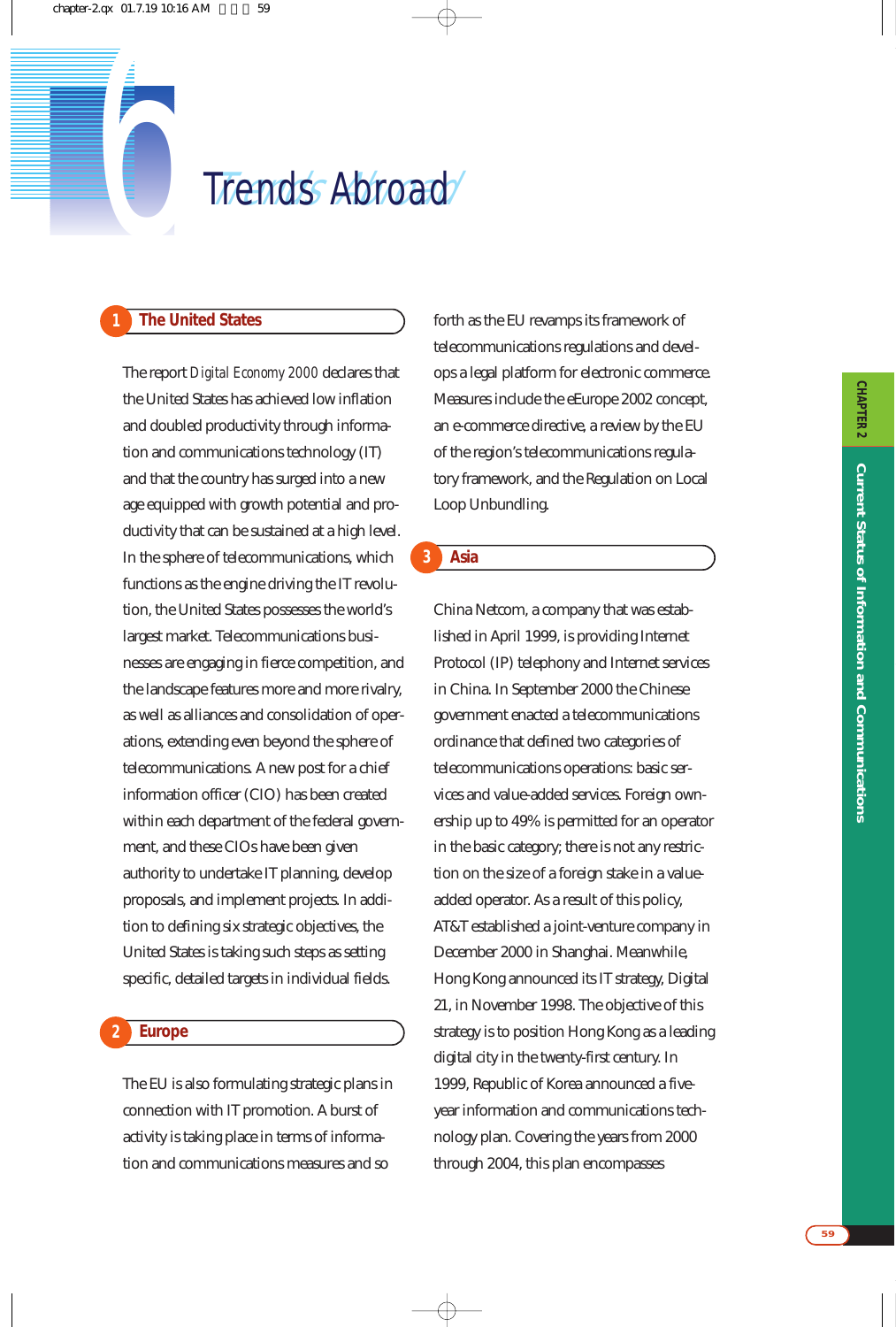

# **1 The United States**

The report *Digital Economy 2000* declares that the United States has achieved low inflation and doubled productivity through information and communications technology (IT) and that the country has surged into a new age equipped with growth potential and productivity that can be sustained at a high level. In the sphere of telecommunications, which functions as the engine driving the IT revolution, the United States possesses the world's largest market. Telecommunications businesses are engaging in fierce competition, and the landscape features more and more rivalry, as well as alliances and consolidation of operations, extending even beyond the sphere of telecommunications. A new post for a chief information officer (CIO) has been created within each department of the federal government, and these CIOs have been given authority to undertake IT planning, develop proposals, and implement projects. In addition to defining six strategic objectives, the United States is taking such steps as setting specific, detailed targets in individual fields.

#### **Europe 2**

The EU is also formulating strategic plans in connection with IT promotion. A burst of activity is taking place in terms of information and communications measures and so

forth as the EU revamps its framework of telecommunications regulations and develops a legal platform for electronic commerce. Measures include the eEurope 2002 concept, an e-commerce directive, a review by the EU of the region's telecommunications regulatory framework, and the Regulation on Local Loop Unbundling.

# **Asia**

**3**

China Netcom, a company that was established in April 1999, is providing Internet Protocol (IP) telephony and Internet services in China. In September 2000 the Chinese government enacted a telecommunications ordinance that defined two categories of telecommunications operations: basic services and value-added services. Foreign ownership up to 49% is permitted for an operator in the basic category; there is not any restriction on the size of a foreign stake in a valueadded operator. As a result of this policy, AT&T established a joint-venture company in December 2000 in Shanghai. Meanwhile, Hong Kong announced its IT strategy, Digital 21, in November 1998. The objective of this strategy is to position Hong Kong as a leading digital city in the twenty-first century. In 1999, Republic of Korea announced a fiveyear information and communications technology plan. Covering the years from 2000 through 2004, this plan encompasses